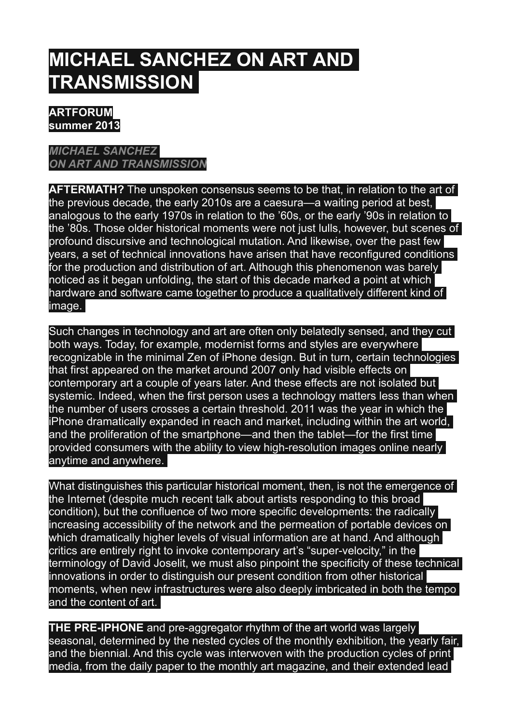## **MICHAEL SANCHEZ ON ART AND TRANSMISSION**

## **ARTFORUM summer 2013**

## *[MICHAEL SANCHEZ](http://artforum.com/contributors/name=michael-sanchez)  [ON ART AND TRANSMISSION](http://artforum.com/contributors/name=michael-sanchez)*

**AFTERMATH?** The unspoken consensus seems to be that, in relation to the art of the previous decade, the early 2010s are a caesura—a waiting period at best, analogous to the early 1970s in relation to the '60s, or the early '90s in relation to the '80s. Those older historical moments were not just lulls, however, but scenes of profound discursive and technological mutation. And likewise, over the past few years, a set of technical innovations have arisen that have reconfigured conditions for the production and distribution of art. Although this phenomenon was barely noticed as it began unfolding, the start of this decade marked a point at which hardware and software came together to produce a qualitatively different kind of image.

Such changes in technology and art are often only belatedly sensed, and they cut both ways. Today, for example, modernist forms and styles are everywhere recognizable in the minimal Zen of iPhone design. But in turn, certain technologies that first appeared on the market around 2007 only had visible effects on contemporary art a couple of years later. And these effects are not isolated but systemic. Indeed, when the first person uses a technology matters less than when the number of users crosses a certain threshold. 2011 was the year in which the iPhone dramatically expanded in reach and market, including within the art world, and the proliferation of the smartphone—and then the tablet—for the first time provided consumers with the ability to view high-resolution images online nearly anytime and anywhere.

What distinguishes this particular historical moment, then, is not the emergence of the Internet (despite much recent talk about artists responding to this broad condition), but the confluence of two more specific developments: the radically increasing accessibility of the network and the permeation of portable devices on which dramatically higher levels of visual information are at hand. And although critics are entirely right to invoke contemporary art's "super-velocity," in the terminology of David Joselit, we must also pinpoint the specificity of these technical innovations in order to distinguish our present condition from other historical moments, when new infrastructures were also deeply imbricated in both the tempo and the content of art.

**THE PRE-IPHONE** and pre-aggregator rhythm of the art world was largely seasonal, determined by the nested cycles of the monthly exhibition, the yearly fair, and the biennial. And this cycle was interwoven with the production cycles of print media, from the daily paper to the monthly art magazine, and their extended lead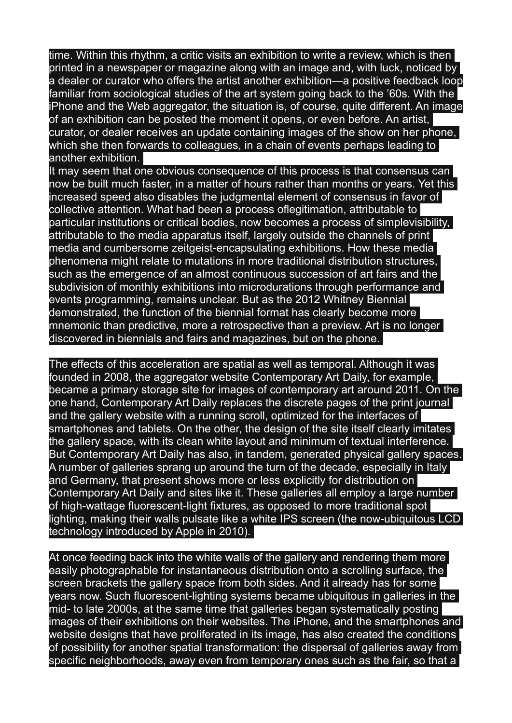time. Within this rhythm, a critic visits an exhibition to write a review, which is then printed in a newspaper or magazine along with an image and, with luck, noticed by a dealer or curator who offers the artist another exhibition—a positive feedback loop familiar from sociological studies of the art system going back to the '60s. With the iPhone and the Web aggregator, the situation is, of course, quite different. An image of an exhibition can be posted the moment it opens, or even before. An artist, curator, or dealer receives an update containing images of the show on her phone, which she then forwards to colleagues, in a chain of events perhaps leading to another exhibition.

It may seem that one obvious consequence of this process is that consensus can now be built much faster, in a matter of hours rather than months or years. Yet this increased speed also disables the judgmental element of consensus in favor of collective attention. What had been a process oflegitimation, attributable to particular institutions or critical bodies, now becomes a process of simplevisibility, attributable to the media apparatus itself, largely outside the channels of print media and cumbersome zeitgeist-encapsulating exhibitions. How these media phenomena might relate to mutations in more traditional distribution structures, such as the emergence of an almost continuous succession of art fairs and the subdivision of monthly exhibitions into microdurations through performance and events programming, remains unclear. But as the 2012 Whitney Biennial demonstrated, the function of the biennial format has clearly become more mnemonic than predictive, more a retrospective than a preview. Art is no longer discovered in biennials and fairs and magazines, but on the phone.

The effects of this acceleration are spatial as well as temporal. Although it was founded in 2008, the aggregator website Contemporary Art Daily, for example, became a primary storage site for images of contemporary art around 2011. On the one hand, Contemporary Art Daily replaces the discrete pages of the print journal and the gallery website with a running scroll, optimized for the interfaces of smartphones and tablets. On the other, the design of the site itself clearly imitates the gallery space, with its clean white layout and minimum of textual interference. But Contemporary Art Daily has also, in tandem, generated physical gallery spaces. A number of galleries sprang up around the turn of the decade, especially in Italy and Germany, that present shows more or less explicitly for distribution on Contemporary Art Daily and sites like it. These galleries all employ a large number of high-wattage fluorescent-light fixtures, as opposed to more traditional spot lighting, making their walls pulsate like a white IPS screen (the now-ubiquitous LCD technology introduced by Apple in 2010).

At once feeding back into the white walls of the gallery and rendering them more easily photographable for instantaneous distribution onto a scrolling surface, the screen brackets the gallery space from both sides. And it already has for some years now. Such fluorescent-lighting systems became ubiquitous in galleries in the mid- to late 2000s, at the same time that galleries began systematically posting images of their exhibitions on their websites. The iPhone, and the smartphones and website designs that have proliferated in its image, has also created the conditions of possibility for another spatial transformation: the dispersal of galleries away from specific neighborhoods, away even from temporary ones such as the fair, so that a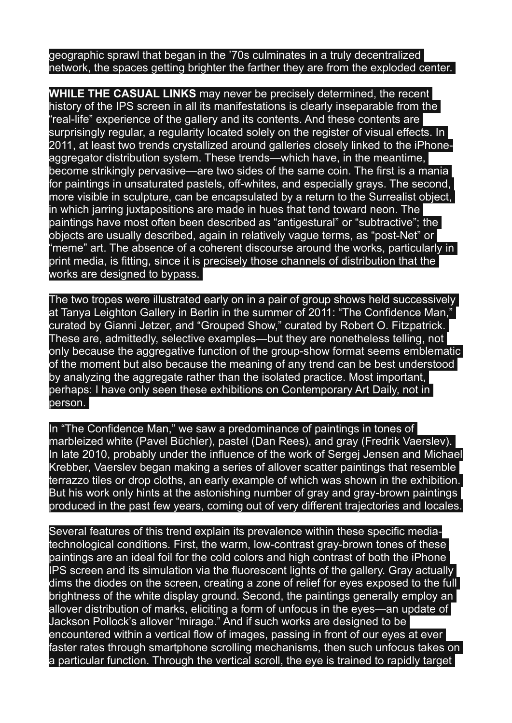geographic sprawl that began in the '70s culminates in a truly decentralized network, the spaces getting brighter the farther they are from the exploded center.

**WHILE THE CASUAL LINKS** may never be precisely determined, the recent history of the IPS screen in all its manifestations is clearly inseparable from the "real-life" experience of the gallery and its contents. And these contents are surprisingly regular, a regularity located solely on the register of visual effects. In 2011, at least two trends crystallized around galleries closely linked to the iPhoneaggregator distribution system. These trends—which have, in the meantime, become strikingly pervasive—are two sides of the same coin. The first is a mania for paintings in unsaturated pastels, off-whites, and especially grays. The second, more visible in sculpture, can be encapsulated by a return to the Surrealist object, in which jarring juxtapositions are made in hues that tend toward neon. The paintings have most often been described as "antigestural" or "subtractive"; the objects are usually described, again in relatively vague terms, as "post-Net" or "meme" art. The absence of a coherent discourse around the works, particularly in print media, is fitting, since it is precisely those channels of distribution that the works are designed to bypass.

The two tropes were illustrated early on in a pair of group shows held successively at Tanya Leighton Gallery in Berlin in the summer of 2011: "The Confidence Man," curated by Gianni Jetzer, and "Grouped Show," curated by Robert O. Fitzpatrick. These are, admittedly, selective examples—but they are nonetheless telling, not only because the aggregative function of the group-show format seems emblematic of the moment but also because the meaning of any trend can be best understood by analyzing the aggregate rather than the isolated practice. Most important, perhaps: I have only seen these exhibitions on Contemporary Art Daily, not in person.

In "The Confidence Man," we saw a predominance of paintings in tones of marbleized white (Pavel Büchler), pastel (Dan Rees), and gray (Fredrik Vaerslev). In late 2010, probably under the influence of the work of Sergej Jensen and Michael Krebber, Vaerslev began making a series of allover scatter paintings that resemble terrazzo tiles or drop cloths, an early example of which was shown in the exhibition. But his work only hints at the astonishing number of gray and gray-brown paintings produced in the past few years, coming out of very different trajectories and locales.

Several features of this trend explain its prevalence within these specific mediatechnological conditions. First, the warm, low-contrast gray-brown tones of these paintings are an ideal foil for the cold colors and high contrast of both the iPhone IPS screen and its simulation via the fluorescent lights of the gallery. Gray actually dims the diodes on the screen, creating a zone of relief for eyes exposed to the full brightness of the white display ground. Second, the paintings generally employ an allover distribution of marks, eliciting a form of unfocus in the eyes—an update of Jackson Pollock's allover "mirage." And if such works are designed to be encountered within a vertical flow of images, passing in front of our eyes at ever faster rates through smartphone scrolling mechanisms, then such unfocus takes on a particular function. Through the vertical scroll, the eye is trained to rapidly target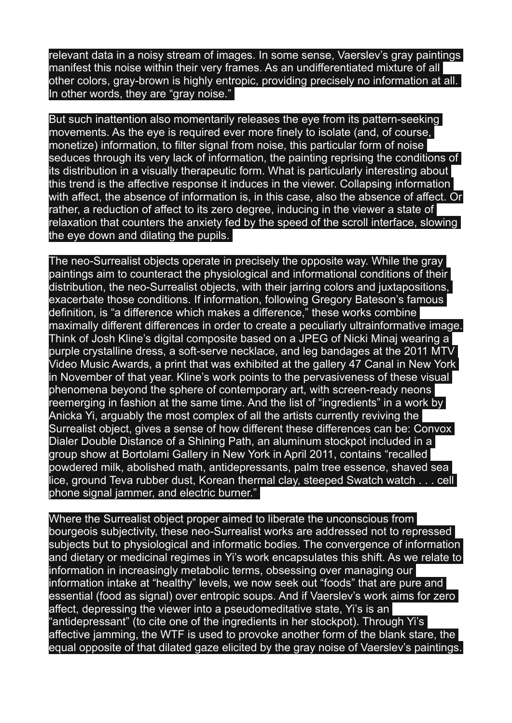relevant data in a noisy stream of images. In some sense, Vaerslev's gray paintings manifest this noise within their very frames. As an undifferentiated mixture of all other colors, gray-brown is highly entropic, providing precisely no information at all. In other words, they are "gray noise."

But such inattention also momentarily releases the eye from its pattern-seeking movements. As the eye is required ever more finely to isolate (and, of course, monetize) information, to filter signal from noise, this particular form of noise seduces through its very lack of information, the painting reprising the conditions of its distribution in a visually therapeutic form. What is particularly interesting about this trend is the affective response it induces in the viewer. Collapsing information with affect, the absence of information is, in this case, also the absence of affect. Or rather, a reduction of affect to its zero degree, inducing in the viewer a state of relaxation that counters the anxiety fed by the speed of the scroll interface, slowing the eye down and dilating the pupils.

The neo-Surrealist objects operate in precisely the opposite way. While the gray paintings aim to counteract the physiological and informational conditions of their distribution, the neo-Surrealist objects, with their jarring colors and juxtapositions, exacerbate those conditions. If information, following Gregory Bateson's famous definition, is "a difference which makes a difference," these works combine maximally different differences in order to create a peculiarly ultrainformative image. Think of Josh Kline's digital composite based on a JPEG of Nicki Minaj wearing a purple crystalline dress, a soft-serve necklace, and leg bandages at the 2011 MTV Video Music Awards, a print that was exhibited at the gallery 47 Canal in New York in November of that year. Kline's work points to the pervasiveness of these visual phenomena beyond the sphere of contemporary art, with screen-ready neons reemerging in fashion at the same time. And the list of "ingredients" in a work by Anicka Yi, arguably the most complex of all the artists currently reviving the Surrealist object, gives a sense of how different these differences can be: Convox Dialer Double Distance of a Shining Path, an aluminum stockpot included in a group show at Bortolami Gallery in New York in April 2011, contains "recalled powdered milk, abolished math, antidepressants, palm tree essence, shaved sea lice, ground Teva rubber dust, Korean thermal clay, steeped Swatch watch . . . cell phone signal jammer, and electric burner."

Where the Surrealist object proper aimed to liberate the unconscious from bourgeois subjectivity, these neo-Surrealist works are addressed not to repressed subjects but to physiological and informatic bodies. The convergence of information and dietary or medicinal regimes in Yi's work encapsulates this shift. As we relate to information in increasingly metabolic terms, obsessing over managing our information intake at "healthy" levels, we now seek out "foods" that are pure and essential (food as signal) over entropic soups. And if Vaerslev's work aims for zero affect, depressing the viewer into a pseudomeditative state. Yi's is an 'antidepressant" (to cite one of the ingredients in her stockpot). Through Yi's affective jamming, the WTF is used to provoke another form of the blank stare, the equal opposite of that dilated gaze elicited by the gray noise of Vaerslev's paintings.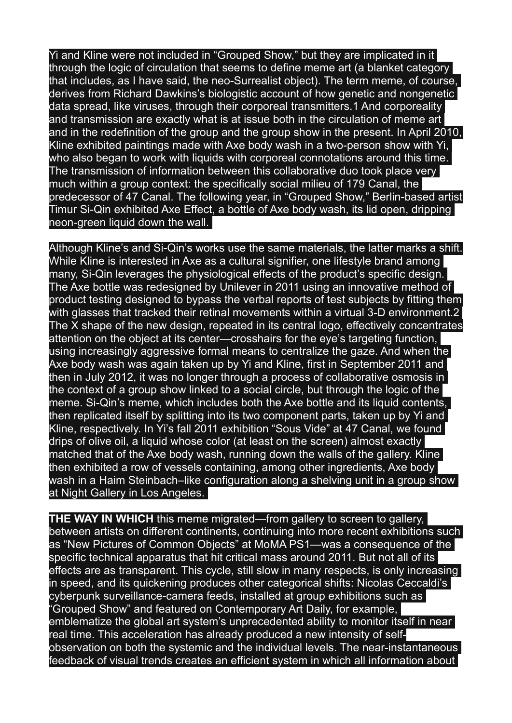Yi and Kline were not included in "Grouped Show," but they are implicated in it through the logic of circulation that seems to define meme art (a blanket category that includes, as I have said, the neo-Surrealist object). The term meme, of course, derives from Richard Dawkins's biologistic account of how genetic and nongenetic data spread, like viruses, through their corporeal transmitters.1 And corporeality and transmission are exactly what is at issue both in the circulation of meme art and in the redefinition of the group and the group show in the present. In April 2010, Kline exhibited paintings made with Axe body wash in a two-person show with Yi, who also began to work with liquids with corporeal connotations around this time. The transmission of information between this collaborative duo took place very much within a group context: the specifically social milieu of 179 Canal, the predecessor of 47 Canal. The following year, in "Grouped Show," Berlin-based artist Timur Si-Qin exhibited Axe Effect, a bottle of Axe body wash, its lid open, dripping neon-green liquid down the wall.

Although Kline's and Si-Qin's works use the same materials, the latter marks a shift. While Kline is interested in Axe as a cultural signifier, one lifestyle brand among many, Si-Qin leverages the physiological effects of the product's specific design. The Axe bottle was redesigned by Unilever in 2011 using an innovative method of product testing designed to bypass the verbal reports of test subjects by fitting them with glasses that tracked their retinal movements within a virtual 3-D environment.2 The X shape of the new design, repeated in its central logo, effectively concentrates attention on the object at its center—crosshairs for the eye's targeting function, using increasingly aggressive formal means to centralize the gaze. And when the Axe body wash was again taken up by Yi and Kline, first in September 2011 and then in July 2012, it was no longer through a process of collaborative osmosis in the context of a group show linked to a social circle, but through the logic of the meme. Si-Qin's meme, which includes both the Axe bottle and its liquid contents, then replicated itself by splitting into its two component parts, taken up by Yi and Kline, respectively. In Yi's fall 2011 exhibition "Sous Vide" at 47 Canal, we found drips of olive oil, a liquid whose color (at least on the screen) almost exactly matched that of the Axe body wash, running down the walls of the gallery. Kline then exhibited a row of vessels containing, among other ingredients, Axe body wash in a Haim Steinbach–like configuration along a shelving unit in a group show at Night Gallery in Los Angeles.

**THE WAY IN WHICH** this meme migrated—from gallery to screen to gallery, between artists on different continents, continuing into more recent exhibitions such as "New Pictures of Common Objects" at MoMA PS1—was a consequence of the specific technical apparatus that hit critical mass around 2011. But not all of its effects are as transparent. This cycle, still slow in many respects, is only increasing in speed, and its quickening produces other categorical shifts: Nicolas Ceccaldi's cyberpunk surveillance-camera feeds, installed at group exhibitions such as Grouped Show" and featured on Contemporary Art Daily, for example, emblematize the global art system's unprecedented ability to monitor itself in near real time. This acceleration has already produced a new intensity of selfobservation on both the systemic and the individual levels. The near-instantaneous feedback of visual trends creates an efficient system in which all information about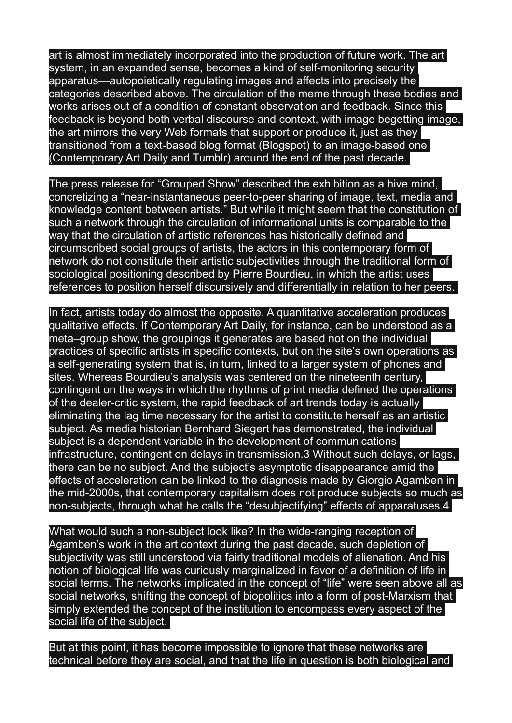art is almost immediately incorporated into the production of future work. The art system, in an expanded sense, becomes a kind of self-monitoring security apparatus—autopoietically regulating images and affects into precisely the categories described above. The circulation of the meme through these bodies and works arises out of a condition of constant observation and feedback. Since this feedback is beyond both verbal discourse and context, with image begetting image, the art mirrors the very Web formats that support or produce it, just as they transitioned from a text-based blog format (Blogspot) to an image-based one (Contemporary Art Daily and Tumblr) around the end of the past decade.

The press release for "Grouped Show" described the exhibition as a hive mind, concretizing a "near-instantaneous peer-to-peer sharing of image, text, media and knowledge content between artists." But while it might seem that the constitution of such a network through the circulation of informational units is comparable to the way that the circulation of artistic references has historically defined and circumscribed social groups of artists, the actors in this contemporary form of network do not constitute their artistic subjectivities through the traditional form of sociological positioning described by Pierre Bourdieu, in which the artist uses references to position herself discursively and differentially in relation to her peers.

In fact, artists today do almost the opposite. A quantitative acceleration produces qualitative effects. If Contemporary Art Daily, for instance, can be understood as a meta–group show, the groupings it generates are based not on the individual practices of specific artists in specific contexts, but on the site's own operations as a self-generating system that is, in turn, linked to a larger system of phones and sites. Whereas Bourdieu's analysis was centered on the nineteenth century, contingent on the ways in which the rhythms of print media defined the operations of the dealer-critic system, the rapid feedback of art trends today is actually eliminating the lag time necessary for the artist to constitute herself as an artistic subject. As media historian Bernhard Siegert has demonstrated, the individual subject is a dependent variable in the development of communications infrastructure, contingent on delays in transmission.3 Without such delays, or lags, there can be no subject. And the subject's asymptotic disappearance amid the effects of acceleration can be linked to the diagnosis made by Giorgio Agamben in the mid-2000s, that contemporary capitalism does not produce subjects so much as non-subjects, through what he calls the "desubjectifying" effects of apparatuses.4

What would such a non-subject look like? In the wide-ranging reception of Agamben's work in the art context during the past decade, such depletion of subjectivity was still understood via fairly traditional models of alienation. And his notion of biological life was curiously marginalized in favor of a definition of life in social terms. The networks implicated in the concept of "life" were seen above all as social networks, shifting the concept of biopolitics into a form of post-Marxism that simply extended the concept of the institution to encompass every aspect of the social life of the subject.

But at this point, it has become impossible to ignore that these networks are technical before they are social, and that the life in question is both biological and